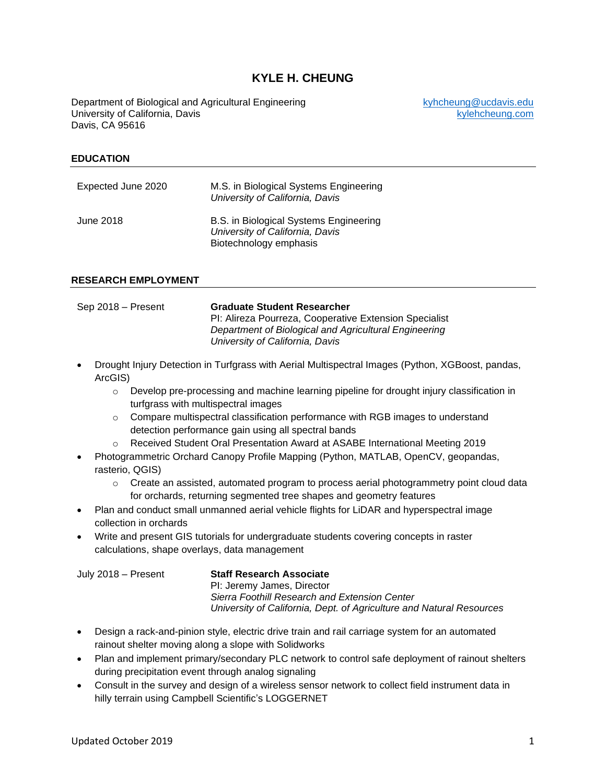# **KYLE H. CHEUNG**

Department of Biological and Agricultural Engineering entity between the surface of the engineering by the set of the University of California, Davis University of California, Davis Davis, CA 95616

#### **EDUCATION**

| Expected June 2020 | M.S. in Biological Systems Engineering<br>University of California, Davis                           |
|--------------------|-----------------------------------------------------------------------------------------------------|
| June 2018          | B.S. in Biological Systems Engineering<br>University of California, Davis<br>Biotechnology emphasis |

#### **RESEARCH EMPLOYMENT**

| Sep 2018 – Present | <b>Graduate Student Researcher</b>                     |
|--------------------|--------------------------------------------------------|
|                    | PI: Alireza Pourreza, Cooperative Extension Specialist |
|                    | Department of Biological and Agricultural Engineering  |
|                    | University of California, Davis                        |

- Drought Injury Detection in Turfgrass with Aerial Multispectral Images (Python, XGBoost, pandas, ArcGIS)
	- o Develop pre-processing and machine learning pipeline for drought injury classification in turfgrass with multispectral images
	- $\circ$  Compare multispectral classification performance with RGB images to understand detection performance gain using all spectral bands
	- o Received Student Oral Presentation Award at ASABE International Meeting 2019
- Photogrammetric Orchard Canopy Profile Mapping (Python, MATLAB, OpenCV, geopandas, rasterio, QGIS)
	- $\circ$  Create an assisted, automated program to process aerial photogrammetry point cloud data for orchards, returning segmented tree shapes and geometry features
- Plan and conduct small unmanned aerial vehicle flights for LiDAR and hyperspectral image collection in orchards
- Write and present GIS tutorials for undergraduate students covering concepts in raster calculations, shape overlays, data management

| July 2018 - Present | <b>Staff Rese</b> |
|---------------------|-------------------|
|                     | PI: Jeremy        |
|                     | Sierra Foo        |

### July 2018 – Present **Staff Research Associate**

/ James, Director *Sierra Foothill Research and Extension Center University of California, Dept. of Agriculture and Natural Resources*

- Design a rack-and-pinion style, electric drive train and rail carriage system for an automated rainout shelter moving along a slope with Solidworks
- Plan and implement primary/secondary PLC network to control safe deployment of rainout shelters during precipitation event through analog signaling
- Consult in the survey and design of a wireless sensor network to collect field instrument data in hilly terrain using Campbell Scientific's LOGGERNET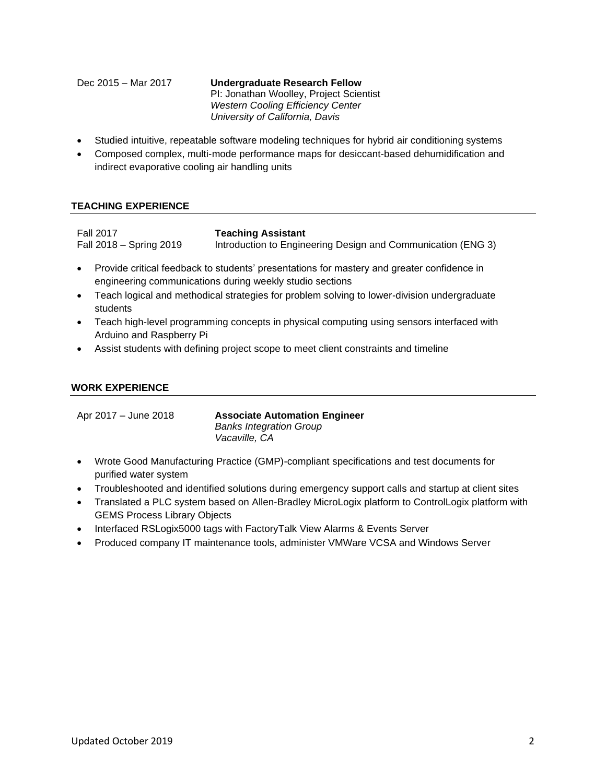Dec 2015 – Mar 2017 **Undergraduate Research Fellow** PI: Jonathan Woolley, Project Scientist *Western Cooling Efficiency Center University of California, Davis*

- Studied intuitive, repeatable software modeling techniques for hybrid air conditioning systems
- Composed complex, multi-mode performance maps for desiccant-based dehumidification and indirect evaporative cooling air handling units

### **TEACHING EXPERIENCE**

Fall 2017 Fall 2018 – Spring 2019 **Teaching Assistant** Introduction to Engineering Design and Communication (ENG 3)

- Provide critical feedback to students' presentations for mastery and greater confidence in engineering communications during weekly studio sections
- Teach logical and methodical strategies for problem solving to lower-division undergraduate students
- Teach high-level programming concepts in physical computing using sensors interfaced with Arduino and Raspberry Pi
- Assist students with defining project scope to meet client constraints and timeline

#### **WORK EXPERIENCE**

Apr 2017 – June 2018 **Associate Automation Engineer** *Banks Integration Group Vacaville, CA*

- Wrote Good Manufacturing Practice (GMP)-compliant specifications and test documents for purified water system
- Troubleshooted and identified solutions during emergency support calls and startup at client sites
- Translated a PLC system based on Allen-Bradley MicroLogix platform to ControlLogix platform with GEMS Process Library Objects
- Interfaced RSLogix5000 tags with FactoryTalk View Alarms & Events Server
- Produced company IT maintenance tools, administer VMWare VCSA and Windows Server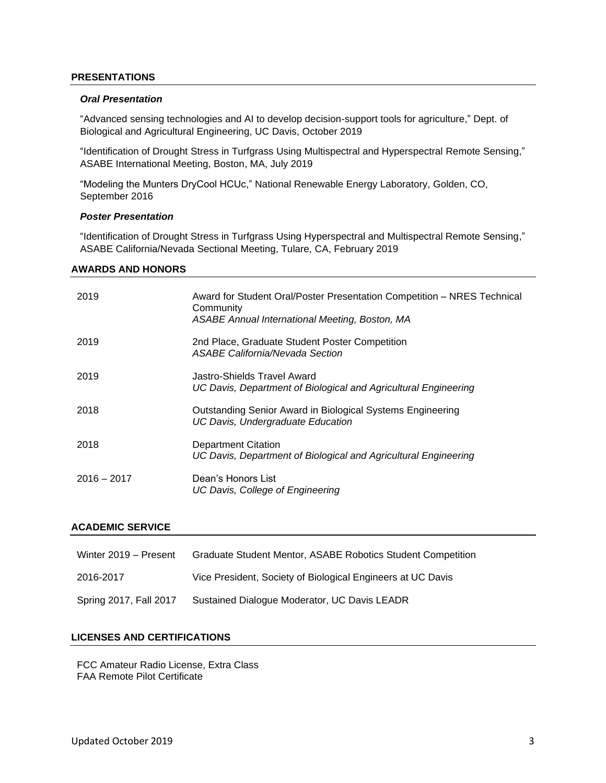#### **PRESENTATIONS**

#### *Oral Presentation*

"Advanced sensing technologies and AI to develop decision-support tools for agriculture," Dept. of Biological and Agricultural Engineering, UC Davis, October 2019

"Identification of Drought Stress in Turfgrass Using Multispectral and Hyperspectral Remote Sensing," ASABE International Meeting, Boston, MA, July 2019

"Modeling the Munters DryCool HCUc," National Renewable Energy Laboratory, Golden, CO, September 2016

#### *Poster Presentation*

"Identification of Drought Stress in Turfgrass Using Hyperspectral and Multispectral Remote Sensing," ASABE California/Nevada Sectional Meeting, Tulare, CA, February 2019

#### **AWARDS AND HONORS**

| 2019          | Award for Student Oral/Poster Presentation Competition - NRES Technical<br>Community<br><b>ASABE Annual International Meeting, Boston, MA</b> |
|---------------|-----------------------------------------------------------------------------------------------------------------------------------------------|
| 2019          | 2nd Place, Graduate Student Poster Competition<br>ASABE California/Nevada Section                                                             |
| 2019          | Jastro-Shields Travel Award<br>UC Davis, Department of Biological and Agricultural Engineering                                                |
| 2018          | Outstanding Senior Award in Biological Systems Engineering<br>UC Davis, Undergraduate Education                                               |
| 2018          | Department Citation<br>UC Davis, Department of Biological and Agricultural Engineering                                                        |
| $2016 - 2017$ | Dean's Honors List<br>UC Davis, College of Engineering                                                                                        |

#### **ACADEMIC SERVICE**

| Winter 2019 - Present  | <b>Graduate Student Mentor, ASABE Robotics Student Competition</b> |
|------------------------|--------------------------------------------------------------------|
| 2016-2017              | Vice President, Society of Biological Engineers at UC Davis        |
| Spring 2017, Fall 2017 | Sustained Dialogue Moderator, UC Davis LEADR                       |

### **LICENSES AND CERTIFICATIONS**

FCC Amateur Radio License, Extra Class FAA Remote Pilot Certificate